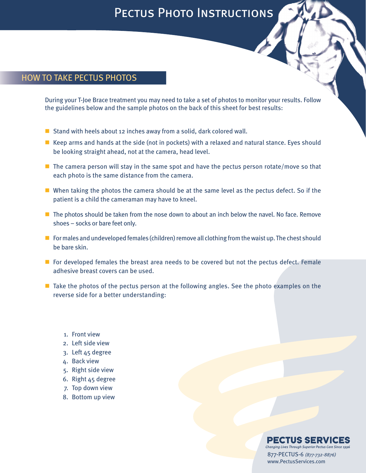## PECTUS PHOTO INSTRUCTIONS

## HOW TO TAKE PECTUS PHOTOS

During your T-Joe Brace treatment you may need to take a set of photos to monitor your results. Follow the guidelines below and the sample photos on the back of this sheet for best results:

- Stand with heels about 12 inches away from a solid, dark colored wall.
- $\blacksquare$  Keep arms and hands at the side (not in pockets) with a relaxed and natural stance. Eyes should be looking straight ahead, not at the camera, head level.
- $\blacksquare$  The camera person will stay in the same spot and have the pectus person rotate/move so that each photo is the same distance from the camera.
- $\blacksquare$  When taking the photos the camera should be at the same level as the pectus defect. So if the patient is a child the cameraman may have to kneel.
- $\blacksquare$  The photos should be taken from the nose down to about an inch below the navel. No face. Remove shoes – socks or bare feet only.
- $\blacksquare$  For males and undeveloped females (children) remove all clothing from the waist up. The chest should be bare skin.
- $\blacksquare$  For developed females the breast area needs to be covered but not the pectus defect. Female adhesive breast covers can be used.
- $\blacksquare$  Take the photos of the pectus person at the following angles. See the photo examples on the reverse side for a better understanding:
	- 1. Front view
	- 2. Left side view
	- 3. Left 45 degree
	- 4. Back view
	- 5. Right side view
	- 6. Right 45 degree
	- 7. Top down view
	- 8. Bottom up view

## PECTUS SERVICES

Changing Lives Through Superior Pectus Care Since 1996 877-PECTUS-6 *(877-732-8876)* www.PectusServices.com